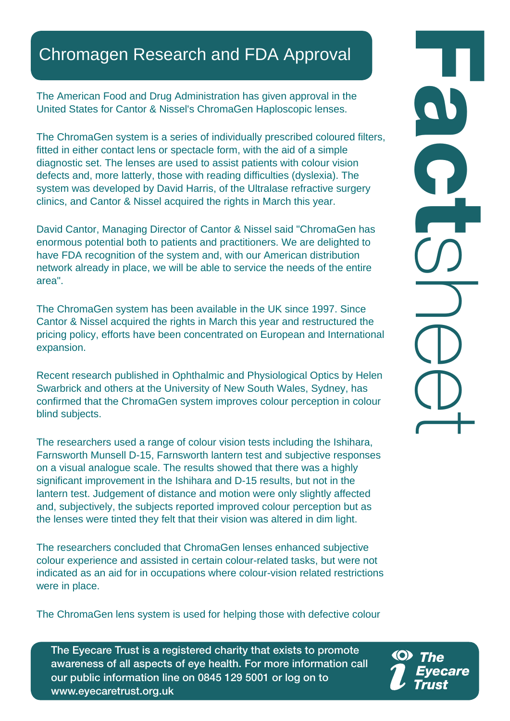## Chromagen Research and FDA Approval

The American Food and Drug Administration has given approval in the United States for Cantor & Nissel's ChromaGen Haploscopic lenses.

The ChromaGen system is a series of individually prescribed coloured filters, fitted in either contact lens or spectacle form, with the aid of a simple diagnostic set. The lenses are used to assist patients with colour vision defects and, more latterly, those with reading difficulties (dyslexia). The system was developed by David Harris, of the Ultralase refractive surgery clinics, and Cantor & Nissel acquired the rights in March this year.

David Cantor, Managing Director of Cantor & Nissel said "ChromaGen has enormous potential both to patients and practitioners. We are delighted to have FDA recognition of the system and, with our American distribution network already in place, we will be able to service the needs of the entire area".

The ChromaGen system has been available in the UK since 1997. Since Cantor & Nissel acquired the rights in March this year and restructured the pricing policy, efforts have been concentrated on European and International expansion.

Recent research published in Ophthalmic and Physiological Optics by Helen Swarbrick and others at the University of New South Wales, Sydney, has confirmed that the ChromaGen system improves colour perception in colour blind subjects.

The researchers used a range of colour vision tests including the Ishihara, Farnsworth Munsell D-15, Farnsworth lantern test and subjective responses on a visual analogue scale. The results showed that there was a highly significant improvement in the Ishihara and D-15 results, but not in the lantern test. Judgement of distance and motion were only slightly affected and, subjectively, the subjects reported improved colour perception but as the lenses were tinted they felt that their vision was altered in dim light.

The researchers concluded that ChromaGen lenses enhanced subjective colour experience and assisted in certain colour-related tasks, but were not indicated as an aid for in occupations where colour-vision related restrictions were in place.

The ChromaGen lens system is used for helping those with defective colour

The Eyecare Trust is a registered charity that exists to promote awareness of all aspects of eye health. For more information call our public information line on 0845 129 5001 or log on to www.eyecaretrust.org.uk

FactSheet<br>D<br>D<br>D<br>D<br>D<br>D<br>D<br>D<br>D<br>D<br>D<br>D<br>D<br>D<br>D<br> $\Box$